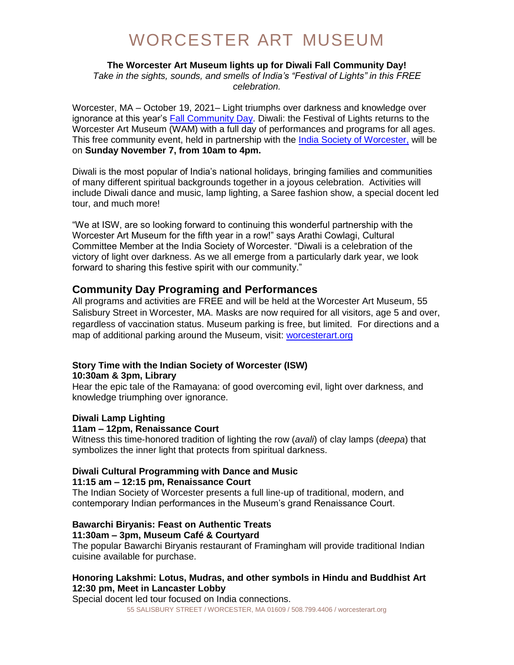# WORCESTER ART MUSEUM

### **The Worcester Art Museum lights up for Diwali Fall Community Day!**

*Take in the sights, sounds, and smells of India's "Festival of Lights" in this FREE celebration.*

Worcester, MA – October 19, 2021– Light triumphs over darkness and knowledge over ignorance at this year's [Fall Community Day.](https://www.worcesterart.org/events/community-day-fall/) Diwali: the Festival of Lights returns to the Worcester Art Museum (WAM) with a full day of performances and programs for all ages. This free community event, held in partnership with the [India Society of Worcester,](https://iswonline.org/) will be on **Sunday November 7, from 10am to 4pm.**

Diwali is the most popular of India's national holidays, bringing families and communities of many different spiritual backgrounds together in a joyous celebration. Activities will include Diwali dance and music, lamp lighting, a Saree fashion show, a special docent led tour, and much more!

"We at ISW, are so looking forward to continuing this wonderful partnership with the Worcester Art Museum for the fifth year in a row!" says Arathi Cowlagi, Cultural Committee Member at the India Society of Worcester. "Diwali is a celebration of the victory of light over darkness. As we all emerge from a particularly dark year, we look forward to sharing this festive spirit with our community."

# **Community Day Programing and Performances**

All programs and activities are FREE and will be held at the Worcester Art Museum, 55 Salisbury Street in Worcester, MA. Masks are now required for all visitors, age 5 and over, regardless of vaccination status. Museum parking is free, but limited. For directions and a map of additional parking around the Museum, visit: [worcesterart.org](http://www.worcesterart.org/information/directions/)

# **Story Time with the Indian Society of Worcester (ISW)**

# **10:30am & 3pm, Library**

Hear the epic tale of the Ramayana: of good overcoming evil, light over darkness, and knowledge triumphing over ignorance.

### **Diwali Lamp Lighting**

### **11am – 12pm, Renaissance Court**

Witness this time-honored tradition of lighting the row (*avali*) of clay lamps (*deepa*) that symbolizes the inner light that protects from spiritual darkness.

### **Diwali Cultural Programming with Dance and Music 11:15 am – 12:15 pm, Renaissance Court**

The Indian Society of Worcester presents a full line-up of traditional, modern, and contemporary Indian performances in the Museum's grand Renaissance Court.

#### **Bawarchi Biryanis: Feast on Authentic Treats 11:30am – 3pm, Museum Café & Courtyard**

The popular Bawarchi Biryanis restaurant of Framingham will provide traditional Indian cuisine available for purchase.

# **Honoring Lakshmi: Lotus, Mudras, and other symbols in Hindu and Buddhist Art 12:30 pm, Meet in Lancaster Lobby**

Special docent led tour focused on India connections.

55 SALISBURY STREET / WORCESTER, MA 01609 / 508.799.4406 / worcesterart.org